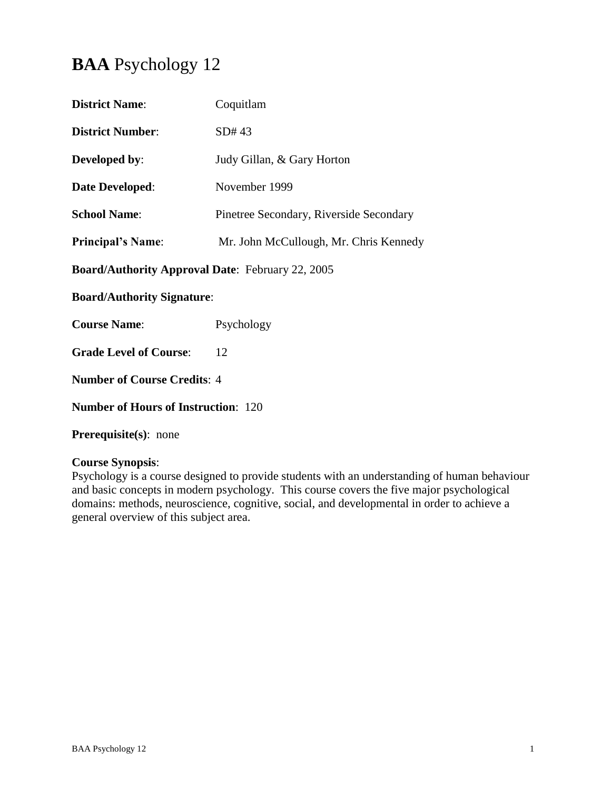# **BAA** Psychology 12

| <b>District Name:</b>                                   | Coquitlam                               |  |
|---------------------------------------------------------|-----------------------------------------|--|
| <b>District Number:</b>                                 | SD#43                                   |  |
| <b>Developed by:</b>                                    | Judy Gillan, & Gary Horton              |  |
| <b>Date Developed:</b>                                  | November 1999                           |  |
| <b>School Name:</b>                                     | Pinetree Secondary, Riverside Secondary |  |
| <b>Principal's Name:</b>                                | Mr. John McCullough, Mr. Chris Kennedy  |  |
| <b>Board/Authority Approval Date: February 22, 2005</b> |                                         |  |
| <b>Board/Authority Signature:</b>                       |                                         |  |
| <b>Course Name:</b>                                     | Psychology                              |  |
| <b>Grade Level of Course:</b>                           | 12                                      |  |
| <b>Number of Course Credits: 4</b>                      |                                         |  |
| <b>Number of Hours of Instruction: 120</b>              |                                         |  |
|                                                         |                                         |  |

**Prerequisite(s)**: none

# **Course Synopsis**:

Psychology is a course designed to provide students with an understanding of human behaviour and basic concepts in modern psychology. This course covers the five major psychological domains: methods, neuroscience, cognitive, social, and developmental in order to achieve a general overview of this subject area.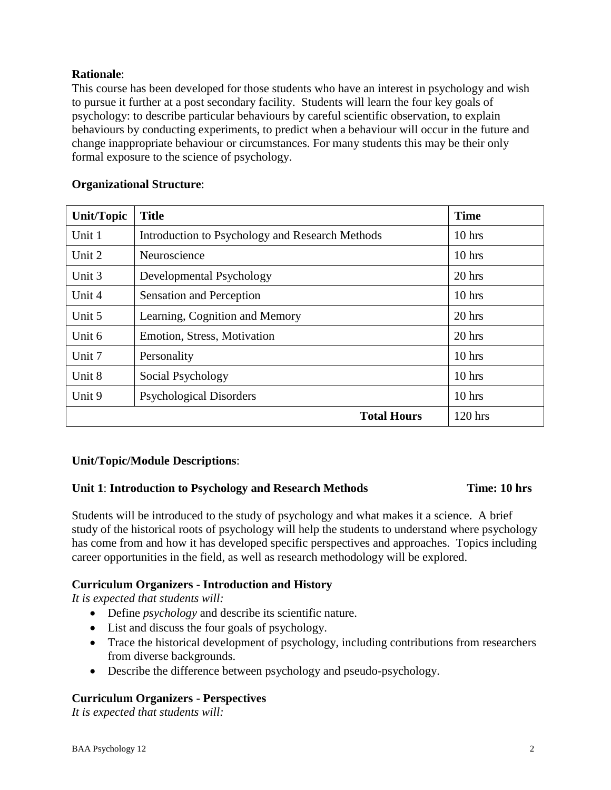# **Rationale**:

This course has been developed for those students who have an interest in psychology and wish to pursue it further at a post secondary facility. Students will learn the four key goals of psychology: to describe particular behaviours by careful scientific observation, to explain behaviours by conducting experiments, to predict when a behaviour will occur in the future and change inappropriate behaviour or circumstances. For many students this may be their only formal exposure to the science of psychology.

| <b>Unit/Topic</b>           | <b>Title</b>                                    | <b>Time</b> |
|-----------------------------|-------------------------------------------------|-------------|
| Unit 1                      | Introduction to Psychology and Research Methods | $10$ hrs    |
| Unit 2                      | Neuroscience                                    | $10$ hrs    |
| Unit 3                      | Developmental Psychology                        | $20$ hrs    |
| Unit 4                      | Sensation and Perception                        |             |
| Unit 5                      | Learning, Cognition and Memory                  | $20$ hrs    |
| Unit 6                      | Emotion, Stress, Motivation                     |             |
| Unit 7<br>Personality       |                                                 | $10$ hrs    |
| Unit 8<br>Social Psychology |                                                 | $10$ hrs    |
| Unit 9                      | <b>Psychological Disorders</b>                  | $10$ hrs    |
|                             | <b>Total Hours</b>                              | $120$ hrs   |

### **Organizational Structure**:

# **Unit/Topic/Module Descriptions**:

#### Unit 1: Introduction to Psychology and Research Methods Time: 10 hrs

Students will be introduced to the study of psychology and what makes it a science. A brief study of the historical roots of psychology will help the students to understand where psychology has come from and how it has developed specific perspectives and approaches. Topics including career opportunities in the field, as well as research methodology will be explored.

# **Curriculum Organizers - Introduction and History**

*It is expected that students will:*

- Define *psychology* and describe its scientific nature.
- List and discuss the four goals of psychology.
- Trace the historical development of psychology, including contributions from researchers from diverse backgrounds.
- Describe the difference between psychology and pseudo-psychology.

# **Curriculum Organizers - Perspectives**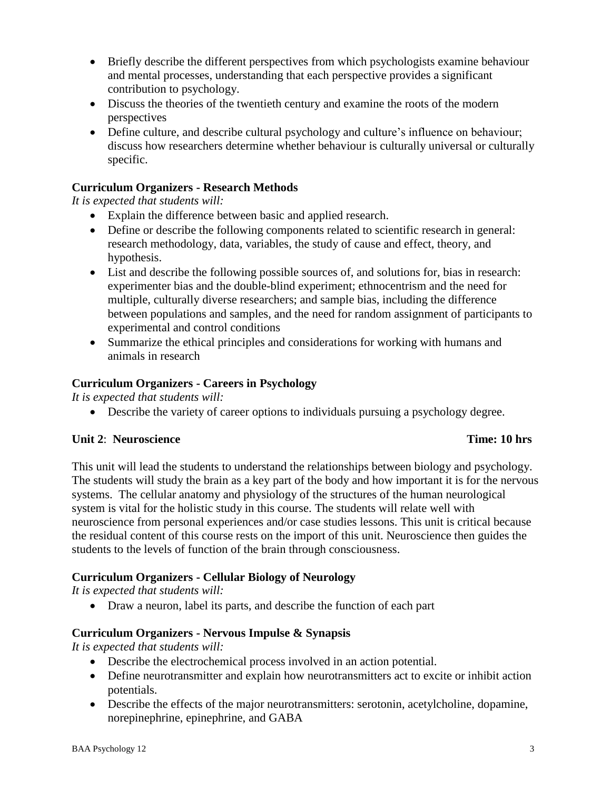- Briefly describe the different perspectives from which psychologists examine behaviour and mental processes, understanding that each perspective provides a significant contribution to psychology.
- Discuss the theories of the twentieth century and examine the roots of the modern perspectives
- Define culture, and describe cultural psychology and culture's influence on behaviour; discuss how researchers determine whether behaviour is culturally universal or culturally specific.

# **Curriculum Organizers - Research Methods**

*It is expected that students will:*

- Explain the difference between basic and applied research.
- Define or describe the following components related to scientific research in general: research methodology, data, variables, the study of cause and effect, theory, and hypothesis.
- List and describe the following possible sources of, and solutions for, bias in research: experimenter bias and the double-blind experiment; ethnocentrism and the need for multiple, culturally diverse researchers; and sample bias, including the difference between populations and samples, and the need for random assignment of participants to experimental and control conditions
- Summarize the ethical principles and considerations for working with humans and animals in research

# **Curriculum Organizers - Careers in Psychology**

*It is expected that students will:*

Describe the variety of career options to individuals pursuing a psychology degree.

# **Unit 2**: **Neuroscience Time: 10 hrs**

This unit will lead the students to understand the relationships between biology and psychology. The students will study the brain as a key part of the body and how important it is for the nervous systems. The cellular anatomy and physiology of the structures of the human neurological system is vital for the holistic study in this course. The students will relate well with neuroscience from personal experiences and/or case studies lessons. This unit is critical because the residual content of this course rests on the import of this unit. Neuroscience then guides the students to the levels of function of the brain through consciousness.

# **Curriculum Organizers - Cellular Biology of Neurology**

*It is expected that students will:*

Draw a neuron, label its parts, and describe the function of each part

# **Curriculum Organizers - Nervous Impulse & Synapsis**

- Describe the electrochemical process involved in an action potential.
- Define neurotransmitter and explain how neurotransmitters act to excite or inhibit action potentials.
- Describe the effects of the major neurotransmitters: serotonin, acetylcholine, dopamine, norepinephrine, epinephrine, and GABA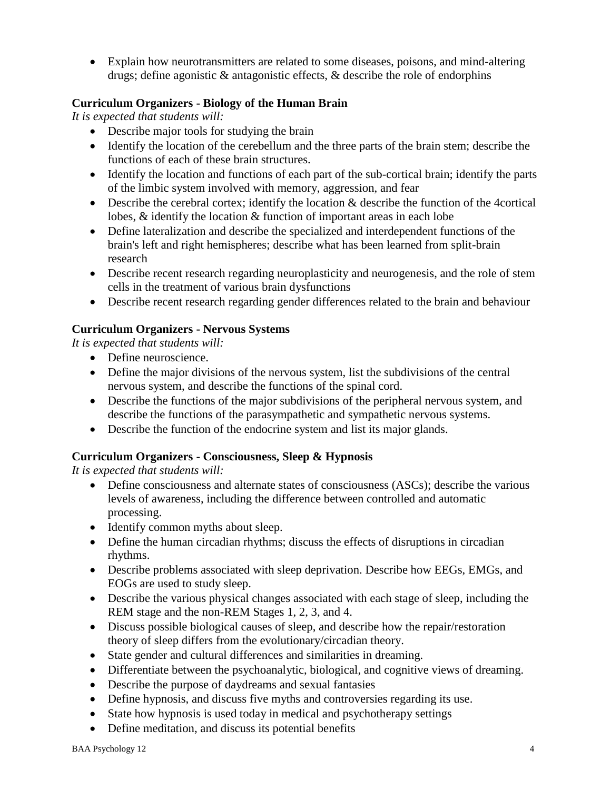Explain how neurotransmitters are related to some diseases, poisons, and mind-altering drugs; define agonistic & antagonistic effects, & describe the role of endorphins

# **Curriculum Organizers - Biology of the Human Brain**

*It is expected that students will:*

- Describe major tools for studying the brain
- Identify the location of the cerebellum and the three parts of the brain stem; describe the functions of each of these brain structures.
- Identify the location and functions of each part of the sub-cortical brain; identify the parts of the limbic system involved with memory, aggression, and fear
- Describe the cerebral cortex; identify the location & describe the function of the 4cortical lobes, & identify the location & function of important areas in each lobe
- Define lateralization and describe the specialized and interdependent functions of the brain's left and right hemispheres; describe what has been learned from split-brain research
- Describe recent research regarding neuroplasticity and neurogenesis, and the role of stem cells in the treatment of various brain dysfunctions
- Describe recent research regarding gender differences related to the brain and behaviour

# **Curriculum Organizers - Nervous Systems**

*It is expected that students will:*

- Define neuroscience.
- Define the major divisions of the nervous system, list the subdivisions of the central nervous system, and describe the functions of the spinal cord.
- Describe the functions of the major subdivisions of the peripheral nervous system, and describe the functions of the parasympathetic and sympathetic nervous systems.
- Describe the function of the endocrine system and list its major glands.

# **Curriculum Organizers - Consciousness, Sleep & Hypnosis**

- Define consciousness and alternate states of consciousness (ASCs); describe the various levels of awareness, including the difference between controlled and automatic processing.
- Identify common myths about sleep.
- Define the human circadian rhythms; discuss the effects of disruptions in circadian rhythms.
- Describe problems associated with sleep deprivation. Describe how EEGs, EMGs, and EOGs are used to study sleep.
- Describe the various physical changes associated with each stage of sleep, including the REM stage and the non-REM Stages 1, 2, 3, and 4.
- Discuss possible biological causes of sleep, and describe how the repair/restoration theory of sleep differs from the evolutionary/circadian theory.
- State gender and cultural differences and similarities in dreaming.
- Differentiate between the psychoanalytic, biological, and cognitive views of dreaming.
- Describe the purpose of daydreams and sexual fantasies
- Define hypnosis, and discuss five myths and controversies regarding its use.
- State how hypnosis is used today in medical and psychotherapy settings
- Define meditation, and discuss its potential benefits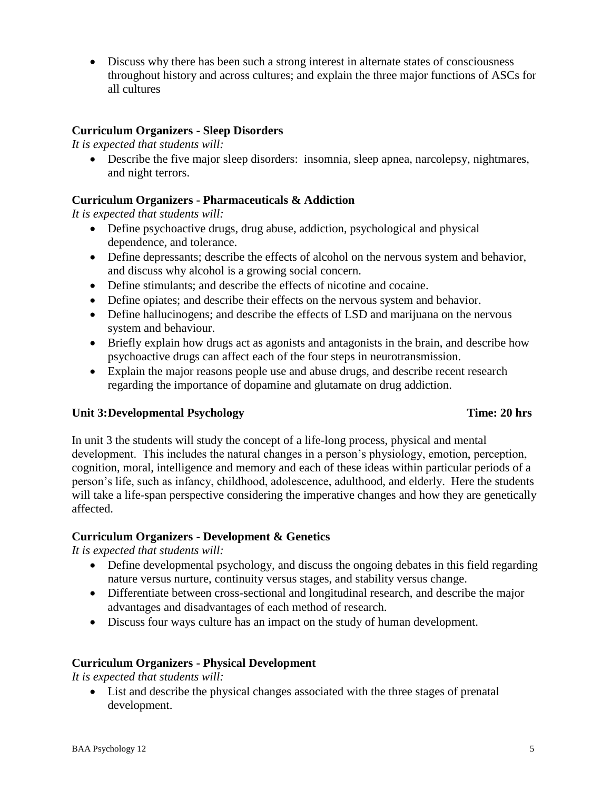• Discuss why there has been such a strong interest in alternate states of consciousness throughout history and across cultures; and explain the three major functions of ASCs for all cultures

#### **Curriculum Organizers - Sleep Disorders**

*It is expected that students will:*

 Describe the five major sleep disorders: insomnia, sleep apnea, narcolepsy, nightmares, and night terrors.

#### **Curriculum Organizers - Pharmaceuticals & Addiction**

*It is expected that students will:*

- Define psychoactive drugs, drug abuse, addiction, psychological and physical dependence, and tolerance.
- Define depressants; describe the effects of alcohol on the nervous system and behavior, and discuss why alcohol is a growing social concern.
- Define stimulants; and describe the effects of nicotine and cocaine.
- Define opiates; and describe their effects on the nervous system and behavior.
- Define hallucinogens; and describe the effects of LSD and marijuana on the nervous system and behaviour.
- Briefly explain how drugs act as agonists and antagonists in the brain, and describe how psychoactive drugs can affect each of the four steps in neurotransmission.
- Explain the major reasons people use and abuse drugs, and describe recent research regarding the importance of dopamine and glutamate on drug addiction.

#### **Unit 3:Developmental Psychology Time: 20 hrs**

In unit 3 the students will study the concept of a life-long process, physical and mental development. This includes the natural changes in a person's physiology, emotion, perception, cognition, moral, intelligence and memory and each of these ideas within particular periods of a person's life, such as infancy, childhood, adolescence, adulthood, and elderly. Here the students will take a life-span perspective considering the imperative changes and how they are genetically affected.

#### **Curriculum Organizers - Development & Genetics**

*It is expected that students will:*

- Define developmental psychology, and discuss the ongoing debates in this field regarding nature versus nurture, continuity versus stages, and stability versus change.
- Differentiate between cross-sectional and longitudinal research, and describe the major advantages and disadvantages of each method of research.
- Discuss four ways culture has an impact on the study of human development.

#### **Curriculum Organizers - Physical Development**

*It is expected that students will:*

 List and describe the physical changes associated with the three stages of prenatal development.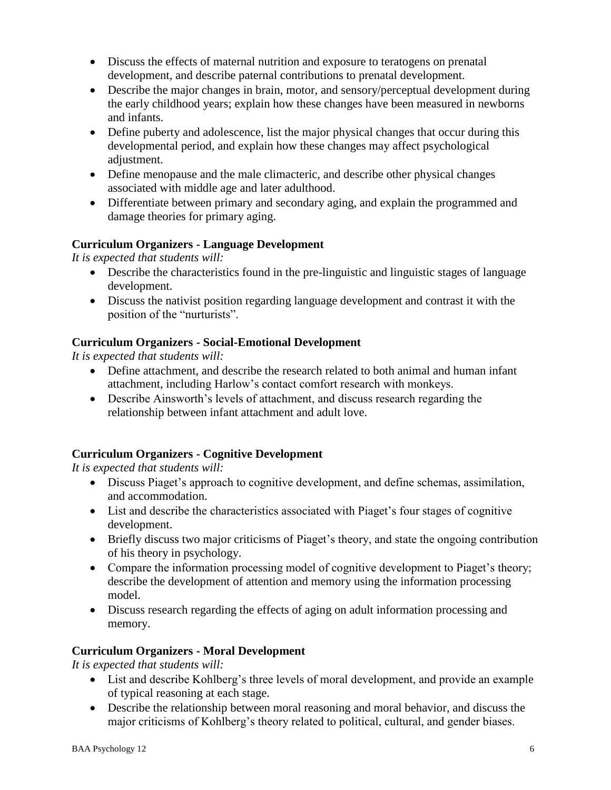- Discuss the effects of maternal nutrition and exposure to teratogens on prenatal development, and describe paternal contributions to prenatal development.
- Describe the major changes in brain, motor, and sensory/perceptual development during the early childhood years; explain how these changes have been measured in newborns and infants.
- Define puberty and adolescence, list the major physical changes that occur during this developmental period, and explain how these changes may affect psychological adjustment.
- Define menopause and the male climacteric, and describe other physical changes associated with middle age and later adulthood.
- Differentiate between primary and secondary aging, and explain the programmed and damage theories for primary aging.

# **Curriculum Organizers - Language Development**

*It is expected that students will:*

- Describe the characteristics found in the pre-linguistic and linguistic stages of language development.
- Discuss the nativist position regarding language development and contrast it with the position of the "nurturists".

# **Curriculum Organizers - Social-Emotional Development**

*It is expected that students will:*

- Define attachment, and describe the research related to both animal and human infant attachment, including Harlow's contact comfort research with monkeys.
- Describe Ainsworth's levels of attachment, and discuss research regarding the relationship between infant attachment and adult love.

# **Curriculum Organizers - Cognitive Development**

*It is expected that students will:*

- Discuss Piaget's approach to cognitive development, and define schemas, assimilation, and accommodation.
- List and describe the characteristics associated with Piaget's four stages of cognitive development.
- Briefly discuss two major criticisms of Piaget's theory, and state the ongoing contribution of his theory in psychology.
- Compare the information processing model of cognitive development to Piaget's theory; describe the development of attention and memory using the information processing model.
- Discuss research regarding the effects of aging on adult information processing and memory.

# **Curriculum Organizers - Moral Development**

- List and describe Kohlberg's three levels of moral development, and provide an example of typical reasoning at each stage.
- Describe the relationship between moral reasoning and moral behavior, and discuss the major criticisms of Kohlberg's theory related to political, cultural, and gender biases.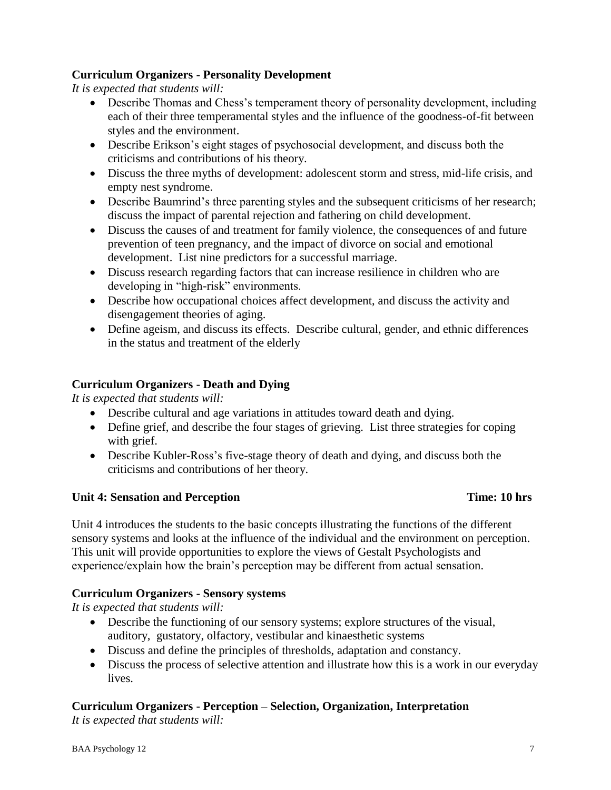# **Curriculum Organizers - Personality Development**

*It is expected that students will:*

- Describe Thomas and Chess's temperament theory of personality development, including each of their three temperamental styles and the influence of the goodness-of-fit between styles and the environment.
- Describe Erikson's eight stages of psychosocial development, and discuss both the criticisms and contributions of his theory.
- Discuss the three myths of development: adolescent storm and stress, mid-life crisis, and empty nest syndrome.
- Describe Baumrind's three parenting styles and the subsequent criticisms of her research; discuss the impact of parental rejection and fathering on child development.
- Discuss the causes of and treatment for family violence, the consequences of and future prevention of teen pregnancy, and the impact of divorce on social and emotional development. List nine predictors for a successful marriage.
- Discuss research regarding factors that can increase resilience in children who are developing in "high-risk" environments.
- Describe how occupational choices affect development, and discuss the activity and disengagement theories of aging.
- Define ageism, and discuss its effects. Describe cultural, gender, and ethnic differences in the status and treatment of the elderly

# **Curriculum Organizers - Death and Dying**

*It is expected that students will:*

- Describe cultural and age variations in attitudes toward death and dying.
- Define grief, and describe the four stages of grieving. List three strategies for coping with grief.
- Describe Kubler-Ross's five-stage theory of death and dying, and discuss both the criticisms and contributions of her theory.

# **Unit 4: Sensation and Perception Time: 10 hrs**

Unit 4 introduces the students to the basic concepts illustrating the functions of the different sensory systems and looks at the influence of the individual and the environment on perception. This unit will provide opportunities to explore the views of Gestalt Psychologists and experience/explain how the brain's perception may be different from actual sensation.

# **Curriculum Organizers - Sensory systems**

*It is expected that students will:*

- Describe the functioning of our sensory systems; explore structures of the visual, auditory, gustatory, olfactory, vestibular and kinaesthetic systems
- Discuss and define the principles of thresholds, adaptation and constancy.
- Discuss the process of selective attention and illustrate how this is a work in our everyday lives.

# **Curriculum Organizers - Perception – Selection, Organization, Interpretation**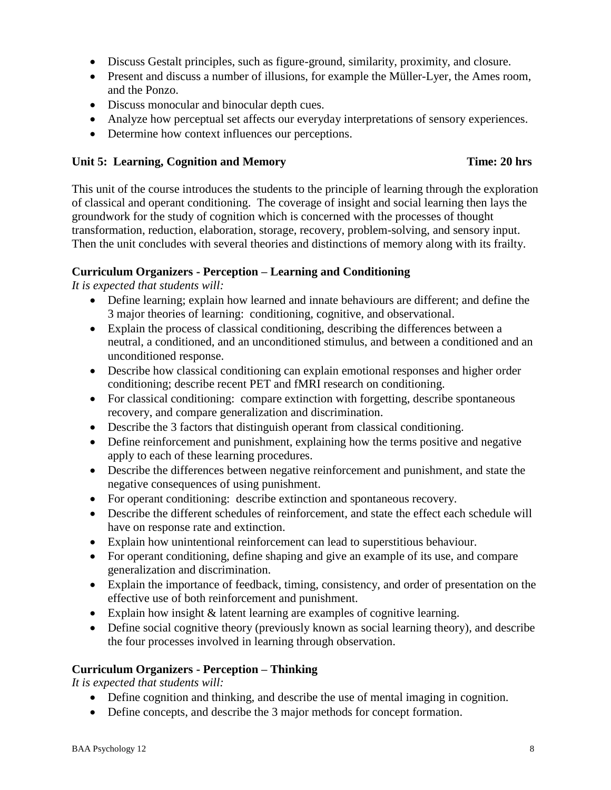- Discuss Gestalt principles, such as figure-ground, similarity, proximity, and closure.
- Present and discuss a number of illusions, for example the Müller-Lyer, the Ames room, and the Ponzo.
- Discuss monocular and binocular depth cues.
- Analyze how perceptual set affects our everyday interpretations of sensory experiences.
- Determine how context influences our perceptions.

#### Unit 5: Learning, Cognition and Memory Time: 20 hrs

This unit of the course introduces the students to the principle of learning through the exploration of classical and operant conditioning. The coverage of insight and social learning then lays the groundwork for the study of cognition which is concerned with the processes of thought transformation, reduction, elaboration, storage, recovery, problem-solving, and sensory input. Then the unit concludes with several theories and distinctions of memory along with its frailty.

#### **Curriculum Organizers - Perception – Learning and Conditioning**

*It is expected that students will:*

- Define learning; explain how learned and innate behaviours are different; and define the 3 major theories of learning: conditioning, cognitive, and observational.
- Explain the process of classical conditioning, describing the differences between a neutral, a conditioned, and an unconditioned stimulus, and between a conditioned and an unconditioned response.
- Describe how classical conditioning can explain emotional responses and higher order conditioning; describe recent PET and fMRI research on conditioning.
- For classical conditioning: compare extinction with forgetting, describe spontaneous recovery, and compare generalization and discrimination.
- Describe the 3 factors that distinguish operant from classical conditioning.
- Define reinforcement and punishment, explaining how the terms positive and negative apply to each of these learning procedures.
- Describe the differences between negative reinforcement and punishment, and state the negative consequences of using punishment.
- For operant conditioning: describe extinction and spontaneous recovery.
- Describe the different schedules of reinforcement, and state the effect each schedule will have on response rate and extinction.
- Explain how unintentional reinforcement can lead to superstitious behaviour.
- For operant conditioning, define shaping and give an example of its use, and compare generalization and discrimination.
- Explain the importance of feedback, timing, consistency, and order of presentation on the effective use of both reinforcement and punishment.
- Explain how insight & latent learning are examples of cognitive learning.
- Define social cognitive theory (previously known as social learning theory), and describe the four processes involved in learning through observation.

#### **Curriculum Organizers - Perception – Thinking**

- Define cognition and thinking, and describe the use of mental imaging in cognition.
- Define concepts, and describe the 3 major methods for concept formation.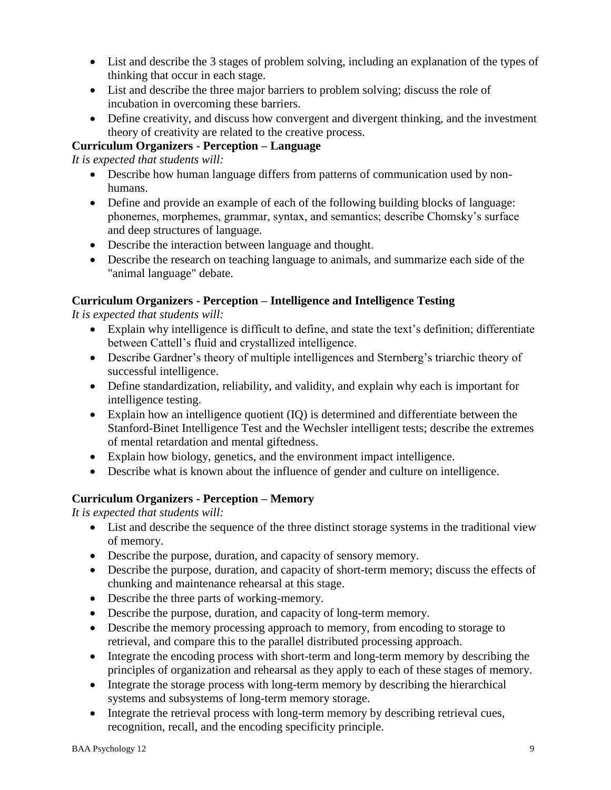- List and describe the 3 stages of problem solving, including an explanation of the types of thinking that occur in each stage.
- List and describe the three major barriers to problem solving; discuss the role of incubation in overcoming these barriers.
- Define creativity, and discuss how convergent and divergent thinking, and the investment theory of creativity are related to the creative process.

# **Curriculum Organizers - Perception – Language**

*It is expected that students will:*

- Describe how human language differs from patterns of communication used by nonhumans.
- Define and provide an example of each of the following building blocks of language: phonemes, morphemes, grammar, syntax, and semantics; describe Chomsky's surface and deep structures of language.
- Describe the interaction between language and thought.
- Describe the research on teaching language to animals, and summarize each side of the "animal language" debate.

# **Curriculum Organizers - Perception – Intelligence and Intelligence Testing**

*It is expected that students will:*

- Explain why intelligence is difficult to define, and state the text's definition; differentiate between Cattell's fluid and crystallized intelligence.
- Describe Gardner's theory of multiple intelligences and Sternberg's triarchic theory of successful intelligence.
- Define standardization, reliability, and validity, and explain why each is important for intelligence testing.
- Explain how an intelligence quotient (IQ) is determined and differentiate between the Stanford-Binet Intelligence Test and the Wechsler intelligent tests; describe the extremes of mental retardation and mental giftedness.
- Explain how biology, genetics, and the environment impact intelligence.
- Describe what is known about the influence of gender and culture on intelligence.

# **Curriculum Organizers - Perception – Memory**

- List and describe the sequence of the three distinct storage systems in the traditional view of memory.
- Describe the purpose, duration, and capacity of sensory memory.
- Describe the purpose, duration, and capacity of short-term memory; discuss the effects of chunking and maintenance rehearsal at this stage.
- Describe the three parts of working-memory.
- Describe the purpose, duration, and capacity of long-term memory.
- Describe the memory processing approach to memory, from encoding to storage to retrieval, and compare this to the parallel distributed processing approach.
- Integrate the encoding process with short-term and long-term memory by describing the principles of organization and rehearsal as they apply to each of these stages of memory.
- Integrate the storage process with long-term memory by describing the hierarchical systems and subsystems of long-term memory storage.
- Integrate the retrieval process with long-term memory by describing retrieval cues, recognition, recall, and the encoding specificity principle.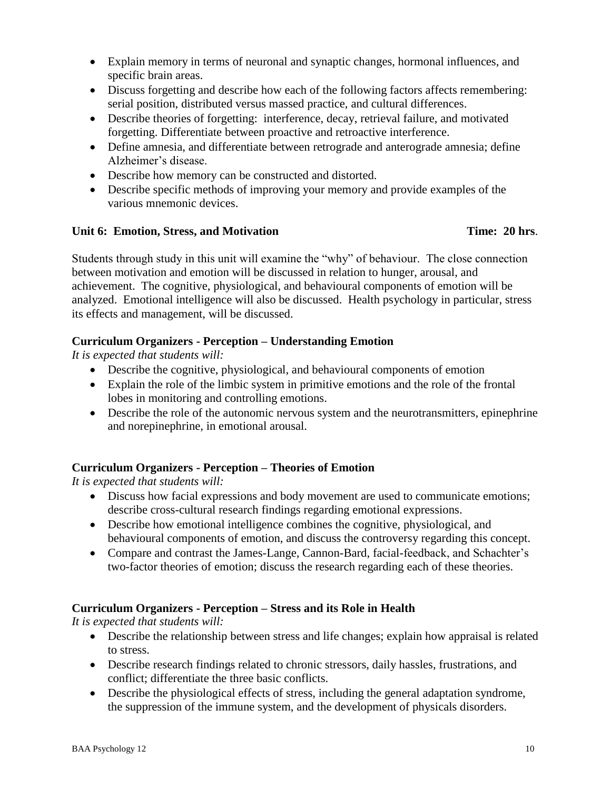- Explain memory in terms of neuronal and synaptic changes, hormonal influences, and specific brain areas.
- Discuss forgetting and describe how each of the following factors affects remembering: serial position, distributed versus massed practice, and cultural differences.
- Describe theories of forgetting: interference, decay, retrieval failure, and motivated forgetting. Differentiate between proactive and retroactive interference.
- Define amnesia, and differentiate between retrograde and anterograde amnesia; define Alzheimer's disease.
- Describe how memory can be constructed and distorted.
- Describe specific methods of improving your memory and provide examples of the various mnemonic devices.

#### **Unit 6: Emotion, Stress, and Motivation Time: 20 hrs**.

Students through study in this unit will examine the "why" of behaviour. The close connection between motivation and emotion will be discussed in relation to hunger, arousal, and achievement. The cognitive, physiological, and behavioural components of emotion will be analyzed. Emotional intelligence will also be discussed. Health psychology in particular, stress its effects and management, will be discussed.

# **Curriculum Organizers - Perception – Understanding Emotion**

*It is expected that students will:*

- Describe the cognitive, physiological, and behavioural components of emotion
- Explain the role of the limbic system in primitive emotions and the role of the frontal lobes in monitoring and controlling emotions.
- Describe the role of the autonomic nervous system and the neurotransmitters, epinephrine and norepinephrine, in emotional arousal.

# **Curriculum Organizers - Perception – Theories of Emotion**

*It is expected that students will:*

- Discuss how facial expressions and body movement are used to communicate emotions; describe cross-cultural research findings regarding emotional expressions.
- Describe how emotional intelligence combines the cognitive, physiological, and behavioural components of emotion, and discuss the controversy regarding this concept.
- Compare and contrast the James-Lange, Cannon-Bard, facial-feedback, and Schachter's two-factor theories of emotion; discuss the research regarding each of these theories.

# **Curriculum Organizers - Perception – Stress and its Role in Health**

- Describe the relationship between stress and life changes; explain how appraisal is related to stress.
- Describe research findings related to chronic stressors, daily hassles, frustrations, and conflict; differentiate the three basic conflicts.
- Describe the physiological effects of stress, including the general adaptation syndrome, the suppression of the immune system, and the development of physicals disorders.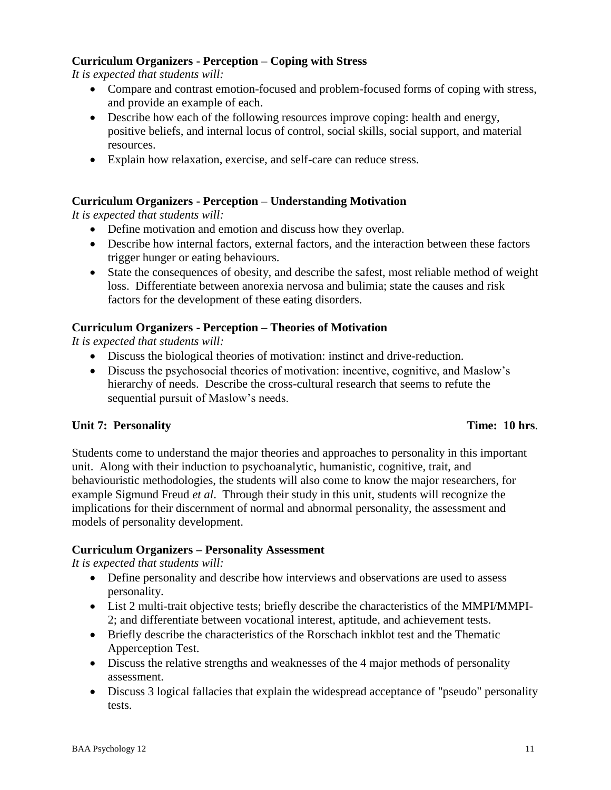# **Curriculum Organizers - Perception – Coping with Stress**

*It is expected that students will:*

- Compare and contrast emotion-focused and problem-focused forms of coping with stress, and provide an example of each.
- Describe how each of the following resources improve coping: health and energy, positive beliefs, and internal locus of control, social skills, social support, and material resources.
- Explain how relaxation, exercise, and self-care can reduce stress.

#### **Curriculum Organizers - Perception – Understanding Motivation**

*It is expected that students will:*

- Define motivation and emotion and discuss how they overlap.
- Describe how internal factors, external factors, and the interaction between these factors trigger hunger or eating behaviours.
- State the consequences of obesity, and describe the safest, most reliable method of weight loss. Differentiate between anorexia nervosa and bulimia; state the causes and risk factors for the development of these eating disorders.

#### **Curriculum Organizers - Perception – Theories of Motivation**

*It is expected that students will:*

- Discuss the biological theories of motivation: instinct and drive-reduction.
- Discuss the psychosocial theories of motivation: incentive, cognitive, and Maslow's hierarchy of needs. Describe the cross-cultural research that seems to refute the sequential pursuit of Maslow's needs.

#### **Unit 7: Personality Time: 10 hrs**.

Students come to understand the major theories and approaches to personality in this important unit. Along with their induction to psychoanalytic, humanistic, cognitive, trait, and behaviouristic methodologies, the students will also come to know the major researchers, for example Sigmund Freud *et al*. Through their study in this unit, students will recognize the implications for their discernment of normal and abnormal personality, the assessment and models of personality development.

#### **Curriculum Organizers – Personality Assessment**

- Define personality and describe how interviews and observations are used to assess personality.
- List 2 multi-trait objective tests; briefly describe the characteristics of the MMPI/MMPI-2; and differentiate between vocational interest, aptitude, and achievement tests.
- Briefly describe the characteristics of the Rorschach inkblot test and the Thematic Apperception Test.
- Discuss the relative strengths and weaknesses of the 4 major methods of personality assessment.
- Discuss 3 logical fallacies that explain the widespread acceptance of "pseudo" personality tests.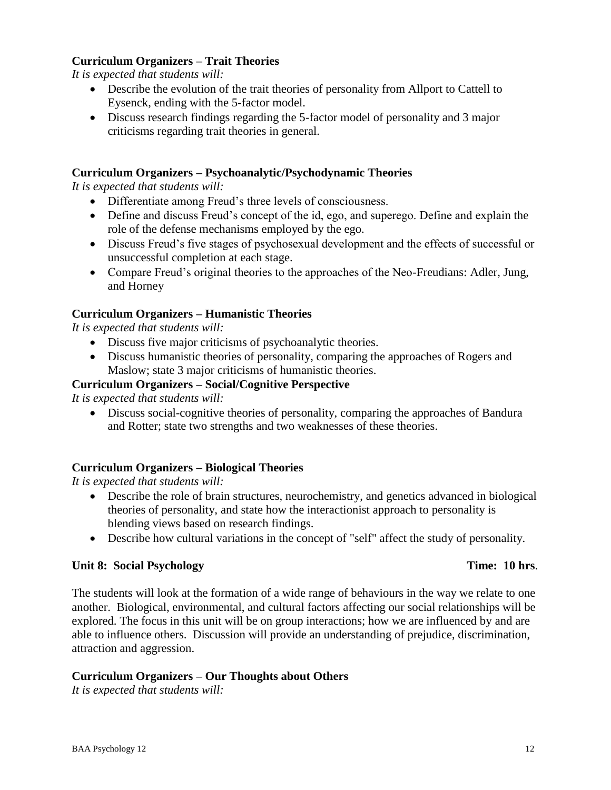### **Curriculum Organizers – Trait Theories**

*It is expected that students will:*

- Describe the evolution of the trait theories of personality from Allport to Cattell to Eysenck, ending with the 5-factor model.
- Discuss research findings regarding the 5-factor model of personality and 3 major criticisms regarding trait theories in general.

### **Curriculum Organizers – Psychoanalytic/Psychodynamic Theories**

*It is expected that students will:*

- Differentiate among Freud's three levels of consciousness.
- Define and discuss Freud's concept of the id, ego, and superego. Define and explain the role of the defense mechanisms employed by the ego.
- Discuss Freud's five stages of psychosexual development and the effects of successful or unsuccessful completion at each stage.
- Compare Freud's original theories to the approaches of the Neo-Freudians: Adler, Jung, and Horney

#### **Curriculum Organizers – Humanistic Theories**

*It is expected that students will:*

- Discuss five major criticisms of psychoanalytic theories.
- Discuss humanistic theories of personality, comparing the approaches of Rogers and Maslow; state 3 major criticisms of humanistic theories.

#### **Curriculum Organizers – Social/Cognitive Perspective**

*It is expected that students will:*

 Discuss social-cognitive theories of personality, comparing the approaches of Bandura and Rotter; state two strengths and two weaknesses of these theories.

#### **Curriculum Organizers – Biological Theories**

*It is expected that students will:*

- Describe the role of brain structures, neurochemistry, and genetics advanced in biological theories of personality, and state how the interactionist approach to personality is blending views based on research findings.
- Describe how cultural variations in the concept of "self" affect the study of personality.

#### **Unit 8: Social Psychology Time: 10 hrs**.

The students will look at the formation of a wide range of behaviours in the way we relate to one another. Biological, environmental, and cultural factors affecting our social relationships will be explored. The focus in this unit will be on group interactions; how we are influenced by and are able to influence others. Discussion will provide an understanding of prejudice, discrimination, attraction and aggression.

#### **Curriculum Organizers – Our Thoughts about Others**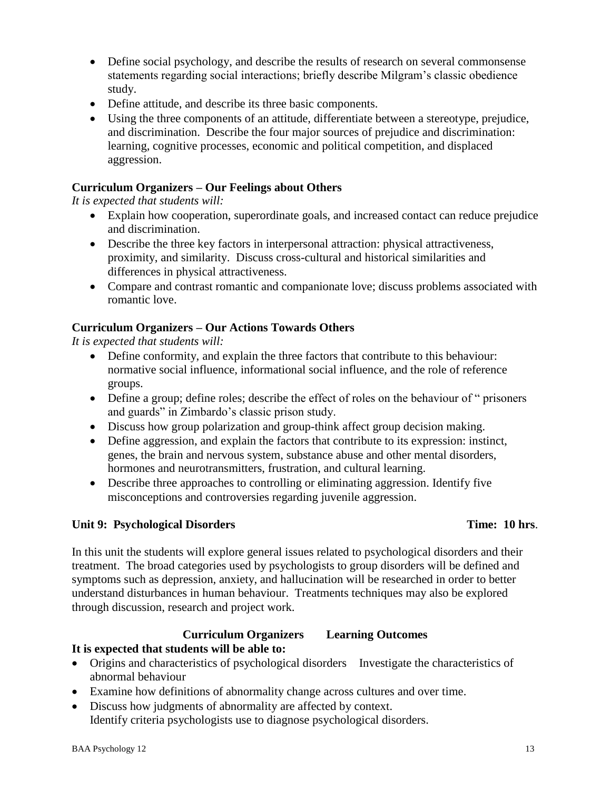- Define social psychology, and describe the results of research on several commonsense statements regarding social interactions; briefly describe Milgram's classic obedience study.
- Define attitude, and describe its three basic components.
- Using the three components of an attitude, differentiate between a stereotype, prejudice, and discrimination. Describe the four major sources of prejudice and discrimination: learning, cognitive processes, economic and political competition, and displaced aggression.

### **Curriculum Organizers – Our Feelings about Others**

*It is expected that students will:*

- Explain how cooperation, superordinate goals, and increased contact can reduce prejudice and discrimination.
- Describe the three key factors in interpersonal attraction: physical attractiveness, proximity, and similarity. Discuss cross-cultural and historical similarities and differences in physical attractiveness.
- Compare and contrast romantic and companionate love; discuss problems associated with romantic love.

#### **Curriculum Organizers – Our Actions Towards Others**

*It is expected that students will:*

- Define conformity, and explain the three factors that contribute to this behaviour: normative social influence, informational social influence, and the role of reference groups.
- Define a group; define roles; describe the effect of roles on the behaviour of " prisoners and guards" in Zimbardo's classic prison study.
- Discuss how group polarization and group-think affect group decision making.
- Define aggression, and explain the factors that contribute to its expression: instinct, genes, the brain and nervous system, substance abuse and other mental disorders, hormones and neurotransmitters, frustration, and cultural learning.
- Describe three approaches to controlling or eliminating aggression. Identify five misconceptions and controversies regarding juvenile aggression.

#### **Unit 9: Psychological Disorders Time: 10 hrs**.

In this unit the students will explore general issues related to psychological disorders and their treatment. The broad categories used by psychologists to group disorders will be defined and symptoms such as depression, anxiety, and hallucination will be researched in order to better understand disturbances in human behaviour. Treatments techniques may also be explored through discussion, research and project work.

# **Curriculum Organizers Learning Outcomes**

#### **It is expected that students will be able to:**

- Origins and characteristics of psychological disorders Investigate the characteristics of abnormal behaviour
- Examine how definitions of abnormality change across cultures and over time.
- Discuss how judgments of abnormality are affected by context. Identify criteria psychologists use to diagnose psychological disorders.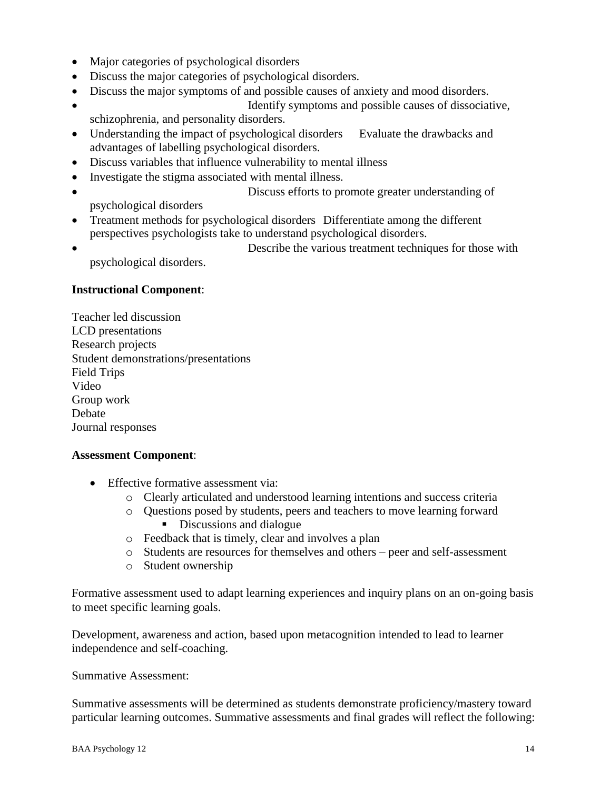- Major categories of psychological disorders
- Discuss the major categories of psychological disorders.
- Discuss the major symptoms of and possible causes of anxiety and mood disorders.
- Identify symptoms and possible causes of dissociative, schizophrenia, and personality disorders.
- Understanding the impact of psychological disorders Evaluate the drawbacks and advantages of labelling psychological disorders.
- Discuss variables that influence vulnerability to mental illness
- Investigate the stigma associated with mental illness.
- Discuss efforts to promote greater understanding of psychological disorders
- Treatment methods for psychological disorders Differentiate among the different perspectives psychologists take to understand psychological disorders.
- Describe the various treatment techniques for those with psychological disorders.

# **Instructional Component**:

Teacher led discussion LCD presentations Research projects Student demonstrations/presentations Field Trips Video Group work **Debate** Journal responses

#### **Assessment Component**:

- Effective formative assessment via:
	- o Clearly articulated and understood learning intentions and success criteria
	- o Questions posed by students, peers and teachers to move learning forward Discussions and dialogue
	- o Feedback that is timely, clear and involves a plan
	- o Students are resources for themselves and others peer and self-assessment
	- o Student ownership

Formative assessment used to adapt learning experiences and inquiry plans on an on-going basis to meet specific learning goals.

Development, awareness and action, based upon metacognition intended to lead to learner independence and self-coaching.

Summative Assessment:

Summative assessments will be determined as students demonstrate proficiency/mastery toward particular learning outcomes. Summative assessments and final grades will reflect the following: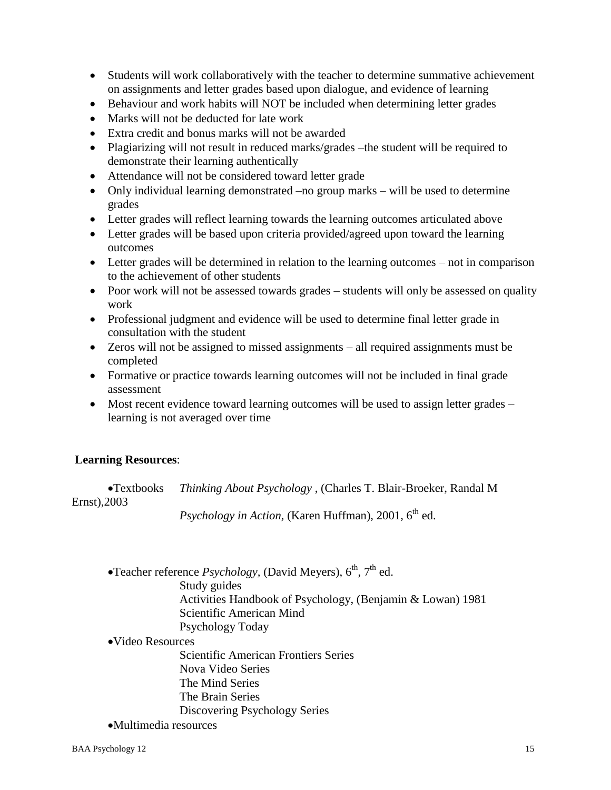- Students will work collaboratively with the teacher to determine summative achievement on assignments and letter grades based upon dialogue, and evidence of learning
- Behaviour and work habits will NOT be included when determining letter grades
- Marks will not be deducted for late work
- Extra credit and bonus marks will not be awarded
- Plagiarizing will not result in reduced marks/grades –the student will be required to demonstrate their learning authentically
- Attendance will not be considered toward letter grade
- Only individual learning demonstrated –no group marks will be used to determine grades
- Letter grades will reflect learning towards the learning outcomes articulated above
- Letter grades will be based upon criteria provided/agreed upon toward the learning outcomes
- Letter grades will be determined in relation to the learning outcomes not in comparison to the achievement of other students
- Poor work will not be assessed towards grades students will only be assessed on quality work
- Professional judgment and evidence will be used to determine final letter grade in consultation with the student
- Zeros will not be assigned to missed assignments all required assignments must be completed
- Formative or practice towards learning outcomes will not be included in final grade assessment
- Most recent evidence toward learning outcomes will be used to assign letter grades learning is not averaged over time

#### **Learning Resources**:

Textbooks *Thinking About Psychology* , (Charles T. Blair-Broeker, Randal M Ernst),2003

*Psychology in Action, (Karen Huffman), 2001, 6<sup>th</sup> ed.* 

- Teacher reference  $Psychology$ , (David Meyers),  $6<sup>th</sup>$ ,  $7<sup>th</sup>$  ed. Study guides Activities Handbook of Psychology, (Benjamin & Lowan) 1981
	- Scientific American Mind
	- Psychology Today
- Video Resources

Scientific American Frontiers Series Nova Video Series The Mind Series The Brain Series Discovering Psychology Series

Multimedia resources